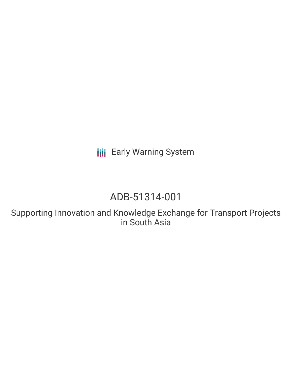**III** Early Warning System

# ADB-51314-001

Supporting Innovation and Knowledge Exchange for Transport Projects in South Asia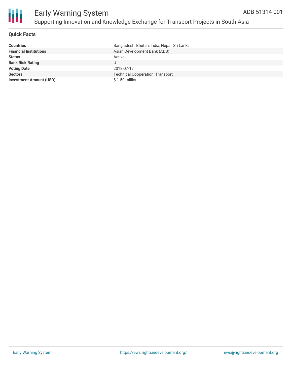

#### **Quick Facts**

| <b>Countries</b>               | Bangladesh, Bhutan, India, Nepal, Sri Lanka |
|--------------------------------|---------------------------------------------|
| <b>Financial Institutions</b>  | Asian Development Bank (ADB)                |
| <b>Status</b>                  | Active                                      |
| <b>Bank Risk Rating</b>        |                                             |
| <b>Voting Date</b>             | 2018-07-17                                  |
| <b>Sectors</b>                 | <b>Technical Cooperation, Transport</b>     |
| <b>Investment Amount (USD)</b> | \$1.50 million                              |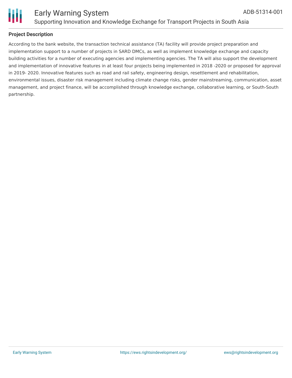

#### **Project Description**

According to the bank website, the transaction technical assistance (TA) facility will provide project preparation and implementation support to a number of projects in SARD DMCs, as well as implement knowledge exchange and capacity building activities for a number of executing agencies and implementing agencies. The TA will also support the development and implementation of innovative features in at least four projects being implemented in 2018 -2020 or proposed for approval in 2019- 2020. Innovative features such as road and rail safety, engineering design, resettlement and rehabilitation, environmental issues, disaster risk management including climate change risks, gender mainstreaming, communication, asset management, and project finance, will be accomplished through knowledge exchange, collaborative learning, or South-South partnership.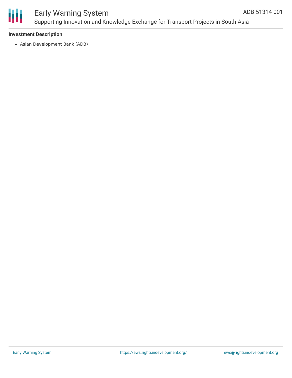

### Early Warning System Supporting Innovation and Knowledge Exchange for Transport Projects in South Asia

#### **Investment Description**

Asian Development Bank (ADB)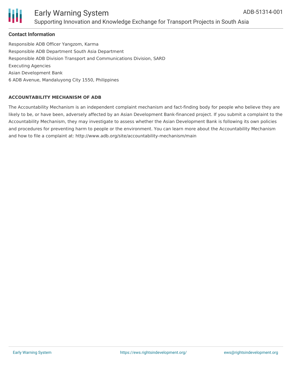

### Early Warning System Supporting Innovation and Knowledge Exchange for Transport Projects in South Asia

#### **Contact Information**

Responsible ADB Officer Yangzom, Karma Responsible ADB Department South Asia Department Responsible ADB Division Transport and Communications Division, SARD Executing Agencies Asian Development Bank 6 ADB Avenue, Mandaluyong City 1550, Philippines

#### **ACCOUNTABILITY MECHANISM OF ADB**

The Accountability Mechanism is an independent complaint mechanism and fact-finding body for people who believe they are likely to be, or have been, adversely affected by an Asian Development Bank-financed project. If you submit a complaint to the Accountability Mechanism, they may investigate to assess whether the Asian Development Bank is following its own policies and procedures for preventing harm to people or the environment. You can learn more about the Accountability Mechanism and how to file a complaint at: http://www.adb.org/site/accountability-mechanism/main